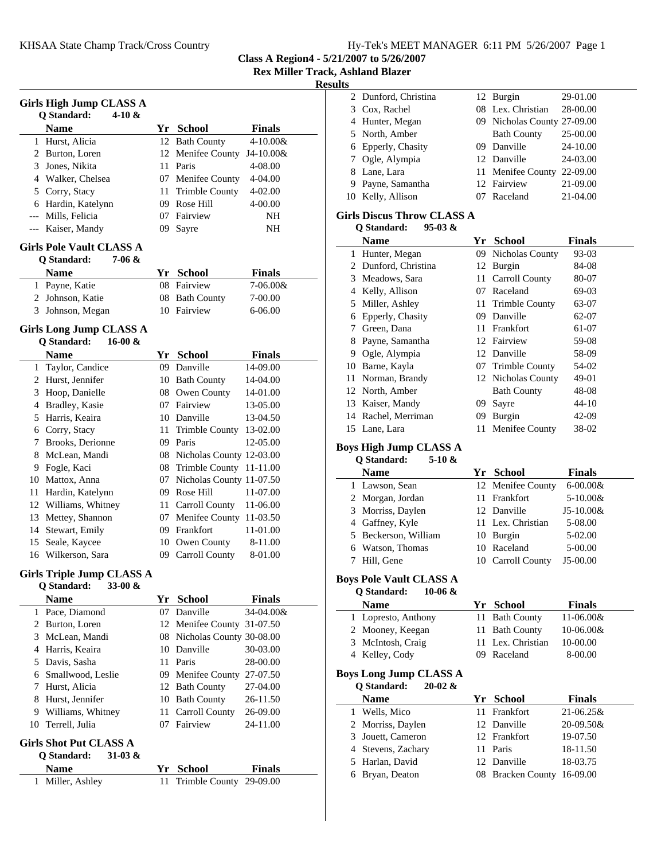| Hy-Tek's MEET MANAGER 6:11 PM 5/26/2007 Page 1 |  |  |  |
|------------------------------------------------|--|--|--|
|------------------------------------------------|--|--|--|

**Class A Region4 - 5/21/2007 to 5/26/2007**

**Rex Miller Track, Ashland Blazer**

## **Results**

|                                 | <b>Girls High Jump CLASS A</b>                             |     |                                            |                     |  |  |  |
|---------------------------------|------------------------------------------------------------|-----|--------------------------------------------|---------------------|--|--|--|
|                                 | Q Standard:<br>4-10 &                                      |     |                                            |                     |  |  |  |
|                                 | <b>Name</b>                                                |     | Yr School                                  | Finals              |  |  |  |
|                                 | 1 Hurst, Alicia                                            |     | 12 Bath County                             | 4-10.00&            |  |  |  |
|                                 | 2 Burton, Loren                                            |     | 12 Menifee County                          | J4-10.00&           |  |  |  |
|                                 | 3 Jones, Nikita                                            |     | 11 Paris                                   | 4-08.00             |  |  |  |
|                                 | 4 Walker, Chelsea                                          |     | 07 Menifee County                          | 4-04.00             |  |  |  |
|                                 | 5 Corry, Stacy                                             |     | 11 Trimble County                          | 4-02.00             |  |  |  |
|                                 | 6 Hardin, Katelynn                                         |     | 09 Rose Hill                               | 4-00.00             |  |  |  |
|                                 | --- Mills, Felicia                                         |     | 07 Fairview                                | NH                  |  |  |  |
|                                 | --- Kaiser, Mandy                                          |     | 09 Sayre                                   | NH                  |  |  |  |
| <b>Girls Pole Vault CLASS A</b> |                                                            |     |                                            |                     |  |  |  |
| Q Standard:<br>7-06 &           |                                                            |     |                                            |                     |  |  |  |
|                                 | <b>Name</b>                                                |     | Yr School                                  | Finals              |  |  |  |
|                                 | 1 Payne, Katie                                             |     | 08 Fairview                                | 7-06.00&            |  |  |  |
|                                 | 2 Johnson, Katie                                           |     | 08 Bath County                             | 7-00.00             |  |  |  |
|                                 | 3 Johnson, Megan                                           |     | 10 Fairview                                | 6-06.00             |  |  |  |
|                                 |                                                            |     |                                            |                     |  |  |  |
|                                 | Girls Long Jump CLASS A<br><b>Q</b> Standard:<br>$16-00 &$ |     |                                            |                     |  |  |  |
|                                 | <b>Name</b>                                                |     | Yr School                                  | <b>Finals</b>       |  |  |  |
|                                 | 1 Taylor, Candice                                          |     | 09 Danville                                | 14-09.00            |  |  |  |
|                                 | 2 Hurst, Jennifer                                          |     | 10 Bath County                             | $14-04.00$          |  |  |  |
|                                 | 3 Hoop, Danielle                                           |     | 08 Owen County                             | $14-01.00$          |  |  |  |
|                                 | 4 Bradley, Kasie                                           |     | 07 Fairview                                | 13-05.00            |  |  |  |
|                                 | 5 Harris, Keaira                                           |     | 10 Danville                                | 13-04.50            |  |  |  |
|                                 | 6 Corry, Stacy                                             | 11- | Trimble County                             | 13-02.00            |  |  |  |
| 7                               | Brooks, Derionne                                           |     | 09 Paris                                   | 12-05.00            |  |  |  |
|                                 | 8 McLean, Mandi                                            |     | 08 Nicholas County 12-03.00                |                     |  |  |  |
|                                 | 9 Fogle, Kaci                                              |     | 08 Trimble County 11-11.00                 |                     |  |  |  |
|                                 |                                                            |     |                                            |                     |  |  |  |
|                                 | 10 Mattox, Anna                                            |     | 07 Nicholas County 11-07.50                |                     |  |  |  |
|                                 | 11 Hardin, Katelynn                                        |     | 09 Rose Hill                               | 11-07.00            |  |  |  |
|                                 | 12 Williams, Whitney                                       |     | 11 Carroll County                          | 11-06.00            |  |  |  |
|                                 | 13 Mettey, Shannon                                         |     | 07 Menifee County 11-03.50                 |                     |  |  |  |
|                                 | 14 Stewart, Emily                                          |     | 09 Frankfort                               | 11-01.00            |  |  |  |
|                                 | 15 Seale, Kaycee                                           |     | 10 Owen County                             | 8-11.00             |  |  |  |
| 16                              | Wilkerson, Sara                                            |     | 09 Carroll County                          | 8-01.00             |  |  |  |
|                                 | <b>Girls Triple Jump CLASS A</b><br>33-00 $\&$             |     |                                            |                     |  |  |  |
|                                 | Q Standard:                                                |     |                                            |                     |  |  |  |
|                                 | Name<br>1 Pace, Diamond                                    |     | Yr School<br>07 Danville                   | Finals<br>34-04.00& |  |  |  |
|                                 | 2 Burton, Loren                                            |     | 12 Menifee County 31-07.50                 |                     |  |  |  |
|                                 | 3 McLean, Mandi                                            |     |                                            |                     |  |  |  |
|                                 |                                                            |     | 08 Nicholas County 30-08.00<br>10 Danville |                     |  |  |  |
|                                 | 4 Harris, Keaira                                           |     |                                            | 30-03.00            |  |  |  |
|                                 | 5 Davis, Sasha                                             |     | 11 Paris                                   | 28-00.00            |  |  |  |
|                                 | 6 Smallwood, Leslie                                        |     | 09 Menifee County 27-07.50                 |                     |  |  |  |
|                                 | 7 Hurst, Alicia                                            |     | 12 Bath County                             | 27-04.00            |  |  |  |
|                                 | 8 Hurst, Jennifer                                          |     | 10 Bath County                             | 26-11.50            |  |  |  |
|                                 | 9 Williams, Whitney                                        |     | 11 Carroll County                          | 26-09.00            |  |  |  |
|                                 | 10 Terrell, Julia                                          |     | 07 Fairview                                | 24-11.00            |  |  |  |
|                                 | Girls Shot Put CLASS A                                     |     |                                            |                     |  |  |  |
|                                 | Q Standard:<br>31-03 $\&$                                  |     |                                            |                     |  |  |  |
|                                 | Name                                                       |     | Yr School                                  | Finals              |  |  |  |
|                                 | 1 Miller, Ashley                                           | 11  | Trimble County                             | 29-09.00            |  |  |  |

| 2 Dunford, Christina | 12 Burgin                   | 29-01.00 |
|----------------------|-----------------------------|----------|
| 3 Cox, Rachel        | 08 Lex. Christian           | 28-00.00 |
| 4 Hunter, Megan      | 09 Nicholas County 27-09.00 |          |
| 5 North, Amber       | <b>Bath County</b>          | 25-00.00 |
| 6 Epperly, Chasity   | 09 Danville                 | 24-10.00 |
| 7 Ogle, Alympia      | 12 Danville                 | 24-03.00 |
| 8 Lane, Lara         | 11 Menifee County           | 22-09.00 |
| 9 Payne, Samantha    | 12 Fairview                 | 21-09.00 |
| 10 Kelly, Allison    | 07 Raceland                 | 21-04.00 |
|                      |                             |          |

### **Girls Discus Throw CLASS A Q Standard: 95-03 &**

| O Standard: |  | 95 |
|-------------|--|----|
|-------------|--|----|

|    | <b>Name</b>          | Yr  | <b>School</b>      | <b>Finals</b> |
|----|----------------------|-----|--------------------|---------------|
| 1  | Hunter, Megan        |     | 09 Nicholas County | 93-03         |
|    | 2 Dunford, Christina | 12  | Burgin             | 84-08         |
| 3  | Meadows, Sara        |     | 11 Carroll County  | 80-07         |
| 4  | Kelly, Allison       | 07  | Raceland           | 69-03         |
|    | 5 Miller, Ashley     |     | 11 Trimble County  | 63-07         |
| 6  | Epperly, Chasity     | 09. | Danville           | 62-07         |
| 7  | Green, Dana          |     | 11 Frankfort       | 61-07         |
| 8  | Payne, Samantha      |     | 12 Fairview        | 59-08         |
| 9. | Ogle, Alympia        |     | 12 Danville        | 58-09         |
| 10 | Barne, Kayla         |     | 07 Trimble County  | 54-02         |
|    | 11 Norman, Brandy    |     | 12 Nicholas County | 49-01         |
|    | 12 North, Amber      |     | <b>Bath County</b> | 48-08         |
|    | 13 Kaiser, Mandy     | 09  | Sayre              | 44-10         |
| 14 | Rachel, Merriman     | 09  | Burgin             | 42-09         |
|    | 15 Lane, Lara        | 11  | Menifee County     | 38-02         |

#### **Boys High Jump CLASS A Q Standard: 5-10 &**

| <b>Name</b>     |                      | Yr School         | <b>Finals</b> |
|-----------------|----------------------|-------------------|---------------|
| 1 Lawson, Sean  |                      | 12 Menifee County | $6 - 00.00 &$ |
|                 | 2 Morgan, Jordan     | 11 Frankfort      | $5 - 10.00 &$ |
|                 | 3 Morriss, Daylen    | 12 Danville       | $J5-10.00&$   |
| 4 Gaffney, Kyle |                      | 11 Lex. Christian | 5-08.00       |
|                 | 5 Beckerson, William | 10 Burgin         | 5-02.00       |
|                 | 6 Watson, Thomas     | 10 Raceland       | 5-00.00       |
| Hill. Gene      |                      | 10 Carroll County | J5-00.00      |

# **Boys Pole Vault CLASS A**

| O Standard:<br>10-06 $\&$<br><b>Name</b> | Yr School         | <b>Finals</b> |
|------------------------------------------|-------------------|---------------|
| 1 Lopresto, Anthony                      | 11 Bath County    | $11-06.00&$   |
| 2 Mooney, Keegan                         | 11 Bath County    | $10-06.00\&$  |
| 3 McIntosh, Craig                        | 11 Lex. Christian | 10-00.00      |
| 4 Kelley, Cody                           | 09 Raceland       | 8-00.00       |

## **Boys Long Jump CLASS A**

| $20-02 &$<br>O Standard: |              |                            |                |
|--------------------------|--------------|----------------------------|----------------|
| <b>Name</b>              | Yr School    |                            | <b>Finals</b>  |
| 1 Wells, Mico            | 11 Frankfort |                            | $21 - 06.25$ & |
| 2 Morriss, Daylen        | 12 Danville  |                            | 20-09.50&      |
| 3 Jouett, Cameron        | 12 Frankfort |                            | 19-07.50       |
| 4 Stevens, Zachary       | 11 Paris     |                            | 18-11.50       |
| 5 Harlan, David          | 12 Danville  |                            | 18-03.75       |
| 6 Bryan, Deaton          |              | 08 Bracken County 16-09.00 |                |
|                          |              |                            |                |